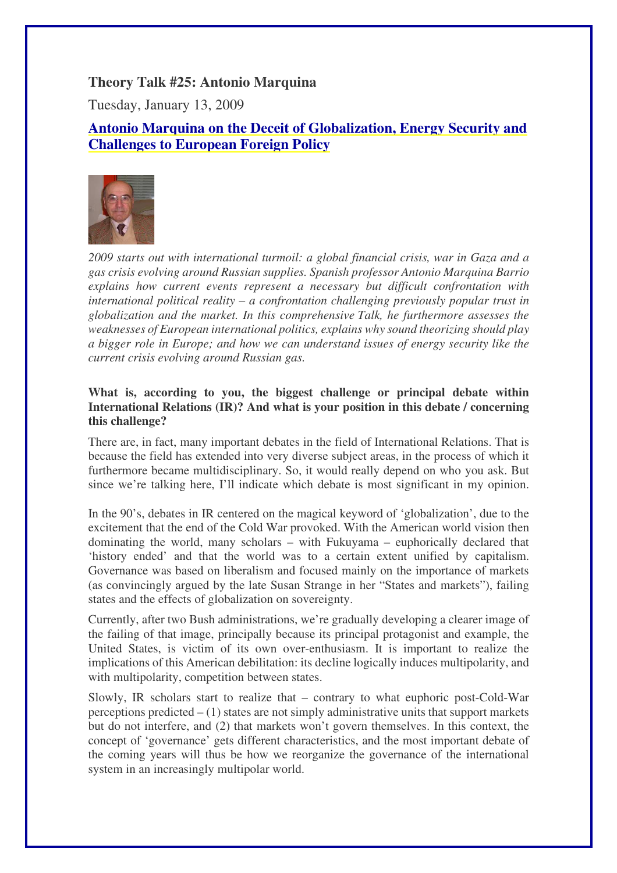## **Theory Talk #25: Antonio Marquina**

Tuesday, January 13, 2009

# **Antonio Marquina on the Deceit of Globalization, Energy Security and Challenges to European Foreign Policy**



*2009 starts out with international turmoil: a global financial crisis, war in Gaza and a gas crisis evolving around Russian supplies. Spanish professor Antonio Marquina Barrio explains how current events represent a necessary but difficult confrontation with international political reality – a confrontation challenging previously popular trust in globalization and the market. In this comprehensive Talk, he furthermore assesses the weaknesses of European international politics, explains why sound theorizing should play a bigger role in Europe; and how we can understand issues of energy security like the current crisis evolving around Russian gas.* 

## **What is, according to you, the biggest challenge or principal debate within International Relations (IR)? And what is your position in this debate / concerning this challenge?**

There are, in fact, many important debates in the field of International Relations. That is because the field has extended into very diverse subject areas, in the process of which it furthermore became multidisciplinary. So, it would really depend on who you ask. But since we're talking here, I'll indicate which debate is most significant in my opinion.

In the 90's, debates in IR centered on the magical keyword of 'globalization', due to the excitement that the end of the Cold War provoked. With the American world vision then dominating the world, many scholars – with Fukuyama – euphorically declared that 'history ended' and that the world was to a certain extent unified by capitalism. Governance was based on liberalism and focused mainly on the importance of markets (as convincingly argued by the late Susan Strange in her "States and markets"), failing states and the effects of globalization on sovereignty.

Currently, after two Bush administrations, we're gradually developing a clearer image of the failing of that image, principally because its principal protagonist and example, the United States, is victim of its own over-enthusiasm. It is important to realize the implications of this American debilitation: its decline logically induces multipolarity, and with multipolarity, competition between states.

Slowly, IR scholars start to realize that – contrary to what euphoric post-Cold-War perceptions predicted – (1) states are not simply administrative units that support markets but do not interfere, and (2) that markets won't govern themselves. In this context, the concept of 'governance' gets different characteristics, and the most important debate of the coming years will thus be how we reorganize the governance of the international system in an increasingly multipolar world.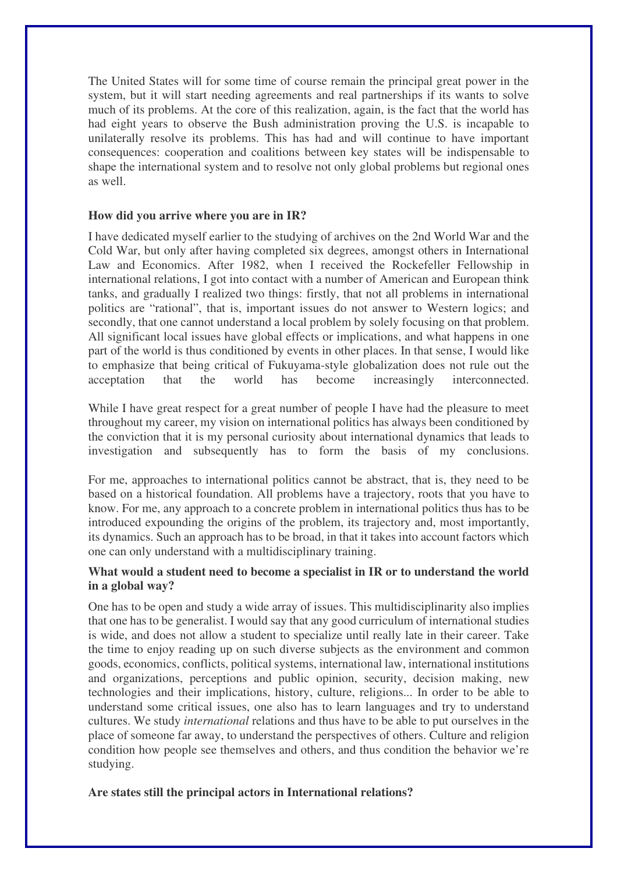The United States will for some time of course remain the principal great power in the system, but it will start needing agreements and real partnerships if its wants to solve much of its problems. At the core of this realization, again, is the fact that the world has had eight years to observe the Bush administration proving the U.S. is incapable to unilaterally resolve its problems. This has had and will continue to have important consequences: cooperation and coalitions between key states will be indispensable to shape the international system and to resolve not only global problems but regional ones as well.

#### **How did you arrive where you are in IR?**

I have dedicated myself earlier to the studying of archives on the 2nd World War and the Cold War, but only after having completed six degrees, amongst others in International Law and Economics. After 1982, when I received the Rockefeller Fellowship in international relations, I got into contact with a number of American and European think tanks, and gradually I realized two things: firstly, that not all problems in international politics are "rational", that is, important issues do not answer to Western logics; and secondly, that one cannot understand a local problem by solely focusing on that problem. All significant local issues have global effects or implications, and what happens in one part of the world is thus conditioned by events in other places. In that sense, I would like to emphasize that being critical of Fukuyama-style globalization does not rule out the acceptation that the world has become increasingly interconnected.

While I have great respect for a great number of people I have had the pleasure to meet throughout my career, my vision on international politics has always been conditioned by the conviction that it is my personal curiosity about international dynamics that leads to investigation and subsequently has to form the basis of my conclusions.

For me, approaches to international politics cannot be abstract, that is, they need to be based on a historical foundation. All problems have a trajectory, roots that you have to know. For me, any approach to a concrete problem in international politics thus has to be introduced expounding the origins of the problem, its trajectory and, most importantly, its dynamics. Such an approach has to be broad, in that it takes into account factors which one can only understand with a multidisciplinary training.

#### **What would a student need to become a specialist in IR or to understand the world in a global way?**

One has to be open and study a wide array of issues. This multidisciplinarity also implies that one has to be generalist. I would say that any good curriculum of international studies is wide, and does not allow a student to specialize until really late in their career. Take the time to enjoy reading up on such diverse subjects as the environment and common goods, economics, conflicts, political systems, international law, international institutions and organizations, perceptions and public opinion, security, decision making, new technologies and their implications, history, culture, religions... In order to be able to understand some critical issues, one also has to learn languages and try to understand cultures. We study *international* relations and thus have to be able to put ourselves in the place of someone far away, to understand the perspectives of others. Culture and religion condition how people see themselves and others, and thus condition the behavior we're studying.

#### **Are states still the principal actors in International relations?**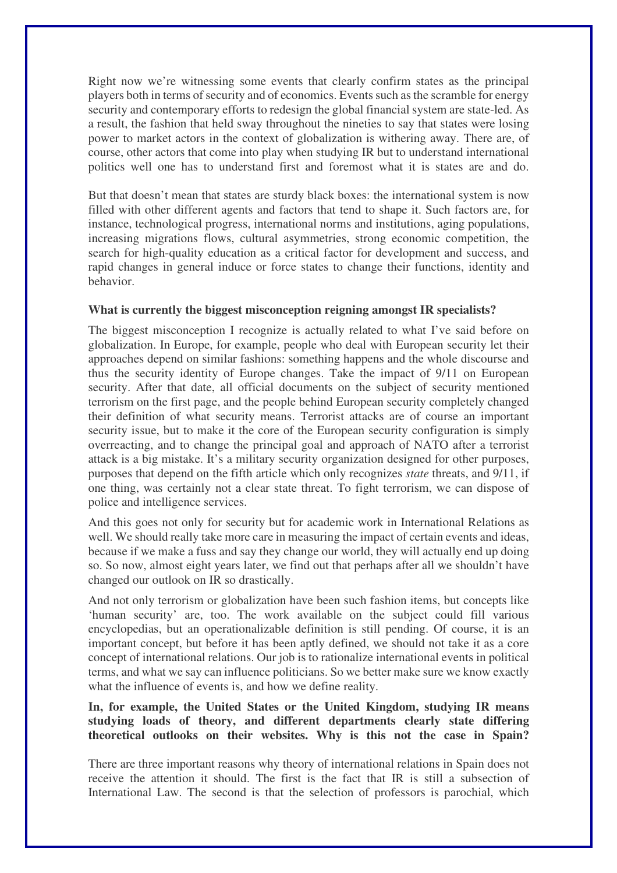Right now we're witnessing some events that clearly confirm states as the principal players both in terms of security and of economics. Events such as the scramble for energy security and contemporary efforts to redesign the global financial system are state-led. As a result, the fashion that held sway throughout the nineties to say that states were losing power to market actors in the context of globalization is withering away. There are, of course, other actors that come into play when studying IR but to understand international politics well one has to understand first and foremost what it is states are and do.

But that doesn't mean that states are sturdy black boxes: the international system is now filled with other different agents and factors that tend to shape it. Such factors are, for instance, technological progress, international norms and institutions, aging populations, increasing migrations flows, cultural asymmetries, strong economic competition, the search for high-quality education as a critical factor for development and success, and rapid changes in general induce or force states to change their functions, identity and behavior.

## **What is currently the biggest misconception reigning amongst IR specialists?**

The biggest misconception I recognize is actually related to what I've said before on globalization. In Europe, for example, people who deal with European security let their approaches depend on similar fashions: something happens and the whole discourse and thus the security identity of Europe changes. Take the impact of 9/11 on European security. After that date, all official documents on the subject of security mentioned terrorism on the first page, and the people behind European security completely changed their definition of what security means. Terrorist attacks are of course an important security issue, but to make it the core of the European security configuration is simply overreacting, and to change the principal goal and approach of NATO after a terrorist attack is a big mistake. It's a military security organization designed for other purposes, purposes that depend on the fifth article which only recognizes *state* threats, and 9/11, if one thing, was certainly not a clear state threat. To fight terrorism, we can dispose of police and intelligence services.

And this goes not only for security but for academic work in International Relations as well. We should really take more care in measuring the impact of certain events and ideas, because if we make a fuss and say they change our world, they will actually end up doing so. So now, almost eight years later, we find out that perhaps after all we shouldn't have changed our outlook on IR so drastically.

And not only terrorism or globalization have been such fashion items, but concepts like 'human security' are, too. The work available on the subject could fill various encyclopedias, but an operationalizable definition is still pending. Of course, it is an important concept, but before it has been aptly defined, we should not take it as a core concept of international relations. Our job is to rationalize international events in political terms, and what we say can influence politicians. So we better make sure we know exactly what the influence of events is, and how we define reality.

**In, for example, the United States or the United Kingdom, studying IR means studying loads of theory, and different departments clearly state differing theoretical outlooks on their websites. Why is this not the case in Spain?**

There are three important reasons why theory of international relations in Spain does not receive the attention it should. The first is the fact that IR is still a subsection of International Law. The second is that the selection of professors is parochial, which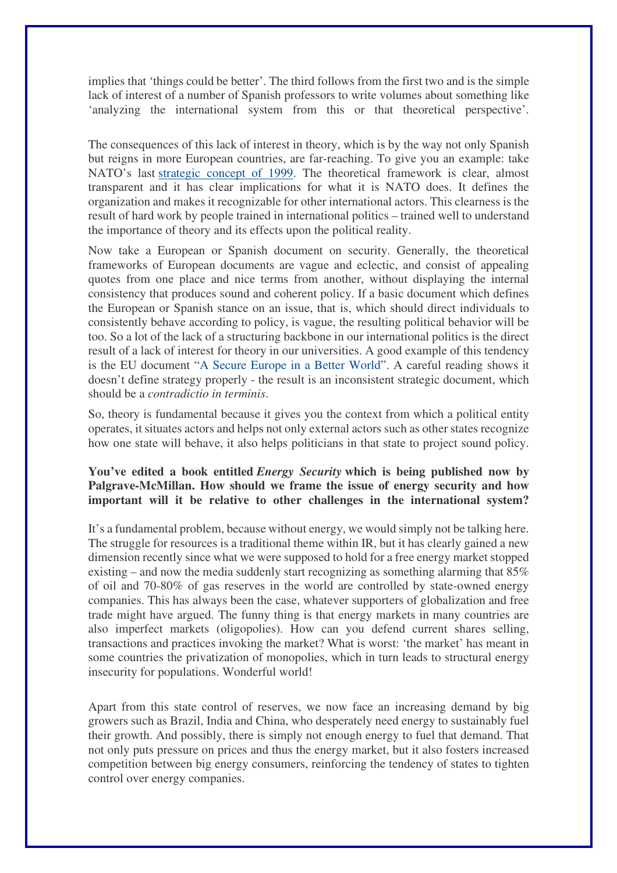implies that 'things could be better'. The third follows from the first two and is the simple lack of interest of a number of Spanish professors to write volumes about something like 'analyzing the international system from this or that theoretical perspective'.

The consequences of this lack of interest in theory, which is by the way not only Spanish but reigns in more European countries, are far-reaching. To give you an example: take NATO's last strategic concept of 1999. The theoretical framework is clear, almost transparent and it has clear implications for what it is NATO does. It defines the organization and makes it recognizable for other international actors. This clearness is the result of hard work by people trained in international politics – trained well to understand the importance of theory and its effects upon the political reality.

Now take a European or Spanish document on security. Generally, the theoretical frameworks of European documents are vague and eclectic, and consist of appealing quotes from one place and nice terms from another, without displaying the internal consistency that produces sound and coherent policy. If a basic document which defines the European or Spanish stance on an issue, that is, which should direct individuals to consistently behave according to policy, is vague, the resulting political behavior will be too. So a lot of the lack of a structuring backbone in our international politics is the direct result of a lack of interest for theory in our universities. A good example of this tendency is the EU document "A Secure Europe in a Better World". A careful reading shows it doesn't define strategy properly - the result is an inconsistent strategic document, which should be a *contradictio in terminis*.

So, theory is fundamental because it gives you the context from which a political entity operates, it situates actors and helps not only external actors such as other states recognize how one state will behave, it also helps politicians in that state to project sound policy.

## **You've edited a book entitled** *Energy Security* **which is being published now by Palgrave-McMillan. How should we frame the issue of energy security and how important will it be relative to other challenges in the international system?**

It's a fundamental problem, because without energy, we would simply not be talking here. The struggle for resources is a traditional theme within IR, but it has clearly gained a new dimension recently since what we were supposed to hold for a free energy market stopped existing – and now the media suddenly start recognizing as something alarming that 85% of oil and 70-80% of gas reserves in the world are controlled by state-owned energy companies. This has always been the case, whatever supporters of globalization and free trade might have argued. The funny thing is that energy markets in many countries are also imperfect markets (oligopolies). How can you defend current shares selling, transactions and practices invoking the market? What is worst: 'the market' has meant in some countries the privatization of monopolies, which in turn leads to structural energy insecurity for populations. Wonderful world!

Apart from this state control of reserves, we now face an increasing demand by big growers such as Brazil, India and China, who desperately need energy to sustainably fuel their growth. And possibly, there is simply not enough energy to fuel that demand. That not only puts pressure on prices and thus the energy market, but it also fosters increased competition between big energy consumers, reinforcing the tendency of states to tighten control over energy companies.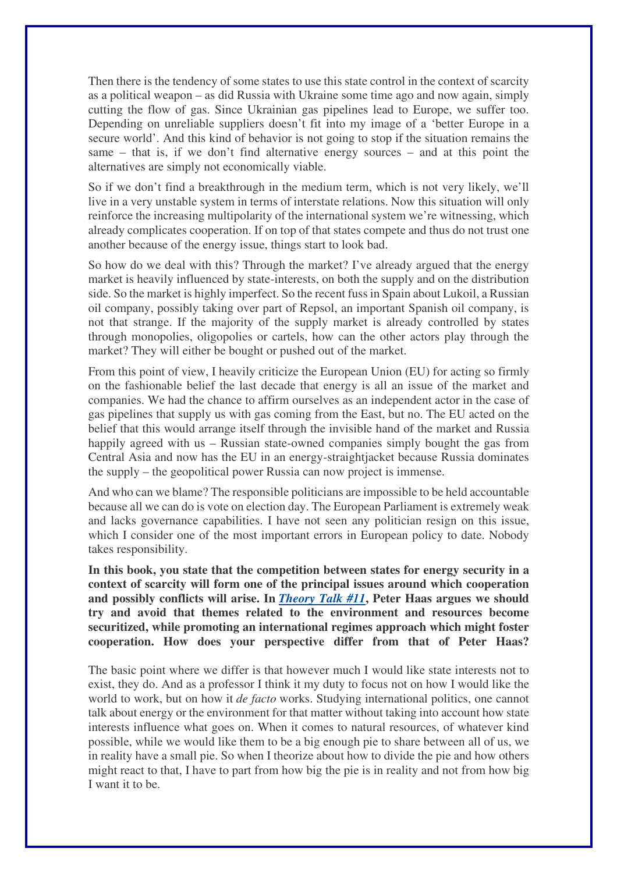Then there is the tendency of some states to use this state control in the context of scarcity as a political weapon – as did Russia with Ukraine some time ago and now again, simply cutting the flow of gas. Since Ukrainian gas pipelines lead to Europe, we suffer too. Depending on unreliable suppliers doesn't fit into my image of a 'better Europe in a secure world'. And this kind of behavior is not going to stop if the situation remains the same – that is, if we don't find alternative energy sources – and at this point the alternatives are simply not economically viable.

So if we don't find a breakthrough in the medium term, which is not very likely, we'll live in a very unstable system in terms of interstate relations. Now this situation will only reinforce the increasing multipolarity of the international system we're witnessing, which already complicates cooperation. If on top of that states compete and thus do not trust one another because of the energy issue, things start to look bad.

So how do we deal with this? Through the market? I've already argued that the energy market is heavily influenced by state-interests, on both the supply and on the distribution side. So the market is highly imperfect. So the recent fuss in Spain about Lukoil, a Russian oil company, possibly taking over part of Repsol, an important Spanish oil company, is not that strange. If the majority of the supply market is already controlled by states through monopolies, oligopolies or cartels, how can the other actors play through the market? They will either be bought or pushed out of the market.

From this point of view, I heavily criticize the European Union (EU) for acting so firmly on the fashionable belief the last decade that energy is all an issue of the market and companies. We had the chance to affirm ourselves as an independent actor in the case of gas pipelines that supply us with gas coming from the East, but no. The EU acted on the belief that this would arrange itself through the invisible hand of the market and Russia happily agreed with us – Russian state-owned companies simply bought the gas from Central Asia and now has the EU in an energy-straightjacket because Russia dominates the supply – the geopolitical power Russia can now project is immense.

And who can we blame? The responsible politicians are impossible to be held accountable because all we can do is vote on election day. The European Parliament is extremely weak and lacks governance capabilities. I have not seen any politician resign on this issue, which I consider one of the most important errors in European policy to date. Nobody takes responsibility.

**In this book, you state that the competition between states for energy security in a context of scarcity will form one of the principal issues around which cooperation and possibly conflicts will arise. In** *Theory Talk #11***, Peter Haas argues we should try and avoid that themes related to the environment and resources become securitized, while promoting an international regimes approach which might foster cooperation. How does your perspective differ from that of Peter Haas?**

The basic point where we differ is that however much I would like state interests not to exist, they do. And as a professor I think it my duty to focus not on how I would like the world to work, but on how it *de facto* works. Studying international politics, one cannot talk about energy or the environment for that matter without taking into account how state interests influence what goes on. When it comes to natural resources, of whatever kind possible, while we would like them to be a big enough pie to share between all of us, we in reality have a small pie. So when I theorize about how to divide the pie and how others might react to that, I have to part from how big the pie is in reality and not from how big I want it to be.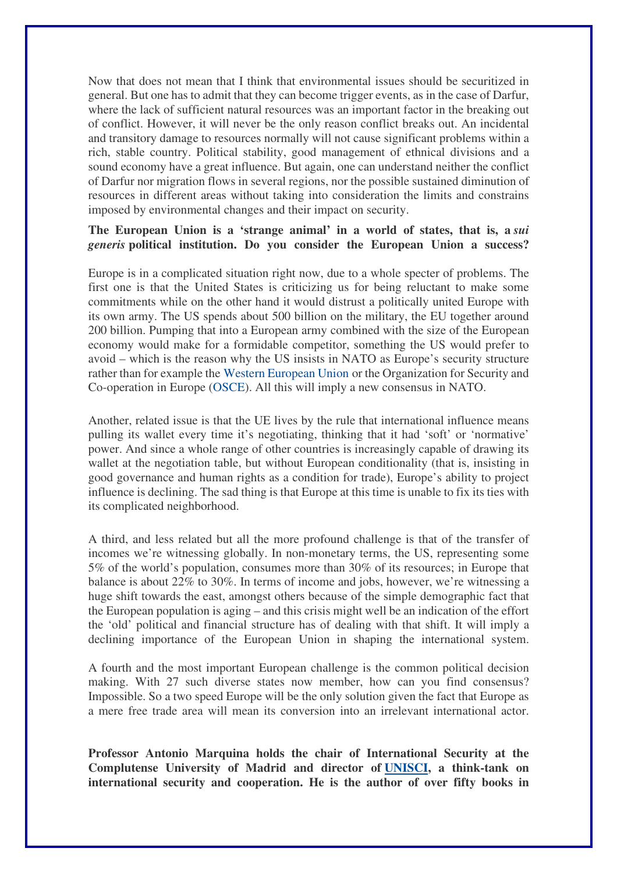Now that does not mean that I think that environmental issues should be securitized in general. But one has to admit that they can become trigger events, as in the case of Darfur, where the lack of sufficient natural resources was an important factor in the breaking out of conflict. However, it will never be the only reason conflict breaks out. An incidental and transitory damage to resources normally will not cause significant problems within a rich, stable country. Political stability, good management of ethnical divisions and a sound economy have a great influence. But again, one can understand neither the conflict of Darfur nor migration flows in several regions, nor the possible sustained diminution of resources in different areas without taking into consideration the limits and constrains imposed by environmental changes and their impact on security.

#### **The European Union is a 'strange animal' in a world of states, that is, a** *sui generis* **political institution. Do you consider the European Union a success?**

Europe is in a complicated situation right now, due to a whole specter of problems. The first one is that the United States is criticizing us for being reluctant to make some commitments while on the other hand it would distrust a politically united Europe with its own army. The US spends about 500 billion on the military, the EU together around 200 billion. Pumping that into a European army combined with the size of the European economy would make for a formidable competitor, something the US would prefer to avoid – which is the reason why the US insists in NATO as Europe's security structure rather than for example the Western European Union or the Organization for Security and Co-operation in Europe (OSCE). All this will imply a new consensus in NATO.

Another, related issue is that the UE lives by the rule that international influence means pulling its wallet every time it's negotiating, thinking that it had 'soft' or 'normative' power. And since a whole range of other countries is increasingly capable of drawing its wallet at the negotiation table, but without European conditionality (that is, insisting in good governance and human rights as a condition for trade), Europe's ability to project influence is declining. The sad thing is that Europe at this time is unable to fix its ties with its complicated neighborhood.

A third, and less related but all the more profound challenge is that of the transfer of incomes we're witnessing globally. In non-monetary terms, the US, representing some 5% of the world's population, consumes more than 30% of its resources; in Europe that balance is about 22% to 30%. In terms of income and jobs, however, we're witnessing a huge shift towards the east, amongst others because of the simple demographic fact that the European population is aging – and this crisis might well be an indication of the effort the 'old' political and financial structure has of dealing with that shift. It will imply a declining importance of the European Union in shaping the international system.

A fourth and the most important European challenge is the common political decision making. With 27 such diverse states now member, how can you find consensus? Impossible. So a two speed Europe will be the only solution given the fact that Europe as a mere free trade area will mean its conversion into an irrelevant international actor.

**Professor Antonio Marquina holds the chair of International Security at the Complutense University of Madrid and director of UNISCI, a think-tank on international security and cooperation. He is the author of over fifty books in**